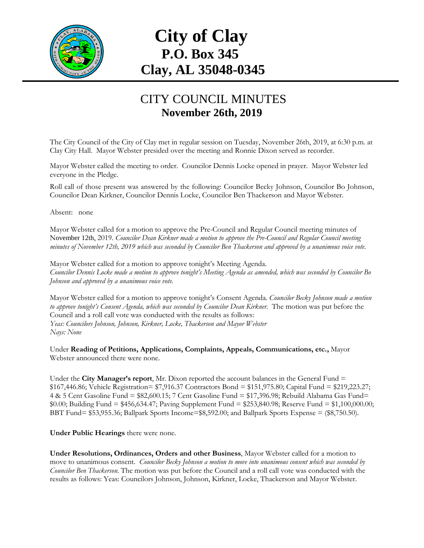

## **City of Clay P.O. Box 345 Clay, AL 35048-0345**

## CITY COUNCIL MINUTES **November 26th, 2019**

The City Council of the City of Clay met in regular session on Tuesday, November 26th, 2019, at 6:30 p.m. at Clay City Hall. Mayor Webster presided over the meeting and Ronnie Dixon served as recorder.

Mayor Webster called the meeting to order. Councilor Dennis Locke opened in prayer. Mayor Webster led everyone in the Pledge.

Roll call of those present was answered by the following: Councilor Becky Johnson, Councilor Bo Johnson, Councilor Dean Kirkner, Councilor Dennis Locke, Councilor Ben Thackerson and Mayor Webster.

Absent: none

Mayor Webster called for a motion to approve the Pre-Council and Regular Council meeting minutes of November 12th, 2019. *Councilor Dean Kirkner made a motion to approve the Pre-Council and Regular Council meeting minutes of November 12th, 2019 which was seconded by Councilor Ben Thackerson and approved by a unanimous voice vote.*

Mayor Webster called for a motion to approve tonight's Meeting Agenda. *Councilor Dennis Locke made a motion to approve tonight's Meeting Agenda as amended, which was seconded by Councilor Bo Johnson and approved by a unanimous voice vote.*

Mayor Webster called for a motion to approve tonight's Consent Agenda. *Councilor Becky Johnson made a motion to approve tonight's Consent Agenda, which was seconded by Councilor Dean Kirkner.* The motion was put before the Council and a roll call vote was conducted with the results as follows: *Yeas: Councilors Johnson, Johnson, Kirkner, Locke, Thackerson and Mayor Webster Nays: None*

Under **Reading of Petitions, Applications, Complaints, Appeals, Communications, etc.,** Mayor Webster announced there were none.

Under the **City Manager's report**, Mr. Dixon reported the account balances in the General Fund = \$167,446.86; Vehicle Registration= \$7,916.37 Contractors Bond = \$151,975.80; Capital Fund = \$219,223.27; 4 & 5 Cent Gasoline Fund = \$82,600.15; 7 Cent Gasoline Fund = \$17,396.98; Rebuild Alabama Gas Fund= \$0.00; Building Fund = \$456,634.47; Paving Supplement Fund = \$253,840.98; Reserve Fund = \$1,100,000.00; BBT Fund= \$53,955.36; Ballpark Sports Income=\$8,592.00; and Ballpark Sports Expense = (\$8,750.50).

**Under Public Hearings** there were none.

**Under Resolutions, Ordinances, Orders and other Business**, Mayor Webster called for a motion to move to unanimous consent. *Councilor Becky Johnson a motion to move into unanimous consent which was seconded by Councilor Ben Thackerson*. The motion was put before the Council and a roll call vote was conducted with the results as follows: Yeas: Councilors Johnson, Johnson, Kirkner, Locke, Thackerson and Mayor Webster.